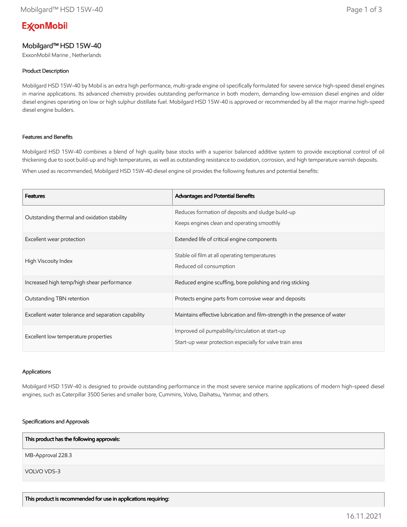# **ExconMobil**

## Mobilgard™ HSD 15W-40

ExxonMobil Marine , Netherlands

## Product Description

Mobilgard HSD 15W-40 by Mobil is an extra high performance, multi-grade engine oil specifically formulated for severe service high-speed diesel engines in marine applications. Its advanced chemistry provides outstanding performance in both modern, demanding low-emission diesel engines and older diesel engines operating on low or high sulphur distillate fuel. Mobilgard HSD 15W-40 is approved or recommended by all the major marine high-speed diesel engine builders.

## Features and Benefits

Mobilgard HSD 15W-40 combines a blend of high quality base stocks with a superior balanced additive system to provide exceptional control of oil thickening due to soot build-up and high temperatures, as well as outstanding resistance to oxidation, corrosion, and high temperature varnish deposits.

When used as recommended, Mobilgard HSD 15W-40 diesel engine oil provides the following features and potential benefits:

| <b>Features</b>                                     | Advantages and Potential Benefits                                                                            |
|-----------------------------------------------------|--------------------------------------------------------------------------------------------------------------|
| Outstanding thermal and oxidation stability         | Reduces formation of deposits and sludge build-up<br>Keeps engines clean and operating smoothly              |
| Excellent wear protection                           | Extended life of critical engine components                                                                  |
| High Viscosity Index                                | Stable oil film at all operating temperatures<br>Reduced oil consumption                                     |
| Increased high temp/high shear performance          | Reduced engine scuffing, bore polishing and ring sticking                                                    |
| Outstanding TBN retention                           | Protects engine parts from corrosive wear and deposits                                                       |
| Excellent water tolerance and separation capability | Maintains effective lubrication and film-strength in the presence of water                                   |
| Excellent low temperature properties                | Improved oil pumpability/circulation at start-up<br>Start-up wear protection especially for valve train area |

#### Applications

Mobilgard HSD 15W-40 is designed to provide outstanding performance in the most severe service marine applications of modern high-speed diesel engines, such as Caterpillar 3500 Series and smaller bore, Cummins, Volvo, Daihatsu, Yanmar, and others.

#### Specifications and Approvals

MB-Approval 228.3 VOLVO VDS-3 This product has the following approvals: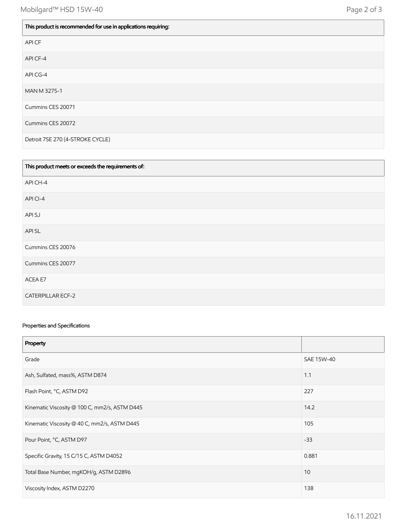| This product is recommended for use in applications requiring: |
|----------------------------------------------------------------|
| API CF                                                         |
| API CF-4                                                       |
| API CG-4                                                       |
| MAN M 3275-1                                                   |
| Cummins CES 20071                                              |
| Cummins CES 20072                                              |
| Detroit 7SE 270 (4-STROKE CYCLE)                               |

| This product meets or exceeds the requirements of: |
|----------------------------------------------------|
| API CH-4                                           |
| API CI-4                                           |
| API SJ                                             |
| API SL                                             |
| Cummins CES 20076                                  |
| Cummins CES 20077                                  |
| ACEA E7                                            |
| <b>CATERPILLAR ECF-2</b>                           |

### Properties and Specifications

| Property                                      |            |
|-----------------------------------------------|------------|
| Grade                                         | SAE 15W-40 |
| Ash, Sulfated, mass%, ASTM D874               | 1.1        |
| Flash Point, °C, ASTM D92                     | 227        |
| Kinematic Viscosity @ 100 C, mm2/s, ASTM D445 | 14.2       |
| Kinematic Viscosity @ 40 C, mm2/s, ASTM D445  | 105        |
| Pour Point, °C, ASTM D97                      | $-33$      |
| Specific Gravity, 15 C/15 C, ASTM D4052       | 0.881      |
| Total Base Number, mgKOH/g, ASTM D2896        | 10         |
| Viscosity Index, ASTM D2270                   | 138        |